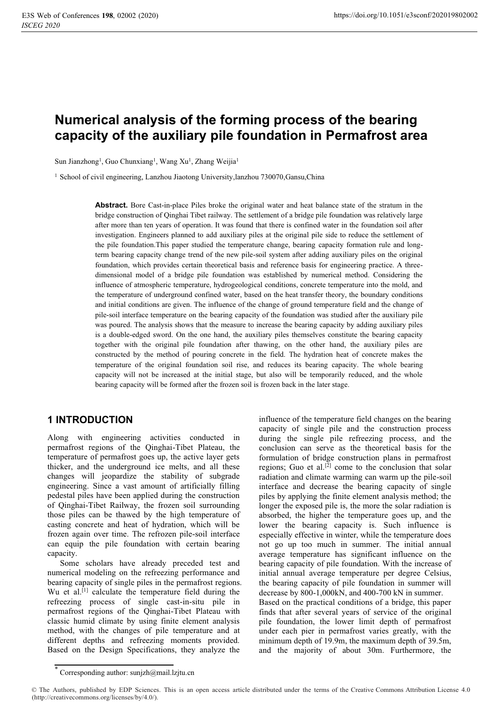# **Numerical analysis of the forming process of the bearing capacity of the auxiliary pile foundation in Permafrost area**

Sun Jianzhong<sup>1</sup>, Guo Chunxiang<sup>1</sup>, Wang Xu<sup>1</sup>, Zhang Weijia<sup>1</sup>

<sup>1</sup> School of civil engineering, Lanzhou Jiaotong University, lanzhou 730070, Gansu, China

**Abstract.** Bore Cast-in-place Piles broke the original water and heat balance state of the stratum in the bridge construction of Qinghai Tibet railway. The settlement of a bridge pile foundation was relatively large after more than ten years of operation. It was found that there is confined water in the foundation soil after investigation. Engineers planned to add auxiliary piles at the original pile side to reduce the settlement of the pile foundation.This paper studied the temperature change, bearing capacity formation rule and longterm bearing capacity change trend of the new pile-soil system after adding auxiliary piles on the original foundation, which provides certain theoretical basis and reference basis for engineering practice. A threedimensional model of a bridge pile foundation was established by numerical method. Considering the influence of atmospheric temperature, hydrogeological conditions, concrete temperature into the mold, and the temperature of underground confined water, based on the heat transfer theory, the boundary conditions and initial conditions are given. The influence of the change of ground temperature field and the change of pile-soil interface temperature on the bearing capacity of the foundation was studied after the auxiliary pile was poured. The analysis shows that the measure to increase the bearing capacity by adding auxiliary piles is a double-edged sword. On the one hand, the auxiliary piles themselves constitute the bearing capacity together with the original pile foundation after thawing, on the other hand, the auxiliary piles are constructed by the method of pouring concrete in the field. The hydration heat of concrete makes the temperature of the original foundation soil rise, and reduces its bearing capacity. The whole bearing capacity will not be increased at the initial stage, but also will be temporarily reduced, and the whole bearing capacity will be formed after the frozen soil is frozen back in the later stage.

# **1 INTRODUCTION**

Along with engineering activities conducted in permafrost regions of the Qinghai-Tibet Plateau, the temperature of permafrost goes up, the active layer gets thicker, and the underground ice melts, and all these changes will jeopardize the stability of subgrade engineering. Since a vast amount of artificially filling pedestal piles have been applied during the construction of Qinghai-Tibet Railway, the frozen soil surrounding those piles can be thawed by the high temperature of casting concrete and heat of hydration, which will be frozen again over time. The refrozen pile-soil interface can equip the pile foundation with certain bearing capacity.

Some scholars have already preceded test and numerical modeling on the refreezing performance and bearing capacity of single piles in the permafrost regions. Wu et al.<sup>[1]</sup> calculate the temperature field during the refreezing process of single cast-in-situ pile in permafrost regions of the Qinghai-Tibet Plateau with classic humid climate by using finite element analysis method, with the changes of pile temperature and at different depths and refreezing moments provided. Based on the Design Specifications, they analyze the

influence of the temperature field changes on the bearing capacity of single pile and the construction process during the single pile refreezing process, and the conclusion can serve as the theoretical basis for the formulation of bridge construction plans in permafrost regions; Guo et al.<sup>[2]</sup> come to the conclusion that solar radiation and climate warming can warm up the pile-soil interface and decrease the bearing capacity of single piles by applying the finite element analysis method; the longer the exposed pile is, the more the solar radiation is absorbed, the higher the temperature goes up, and the lower the bearing capacity is. Such influence is especially effective in winter, while the temperature does not go up too much in summer. The initial annual average temperature has significant influence on the bearing capacity of pile foundation. With the increase of initial annual average temperature per degree Celsius, the bearing capacity of pile foundation in summer will decrease by 800-1,000kN, and 400-700 kN in summer. Based on the practical conditions of a bridge, this paper finds that after several years of service of the original pile foundation, the lower limit depth of permafrost under each pier in permafrost varies greatly, with the minimum depth of 19.9m, the maximum depth of 39.5m, and the majority of about 30m. Furthermore, the

<sup>\*</sup> Corresponding author: sunjzh@mail.lzjtu.cn

<sup>©</sup> The Authors, published by EDP Sciences. This is an open access article distributed under the terms of the Creative Commons Attribution License 4.0 (http://creativecommons.org/licenses/by/4.0/).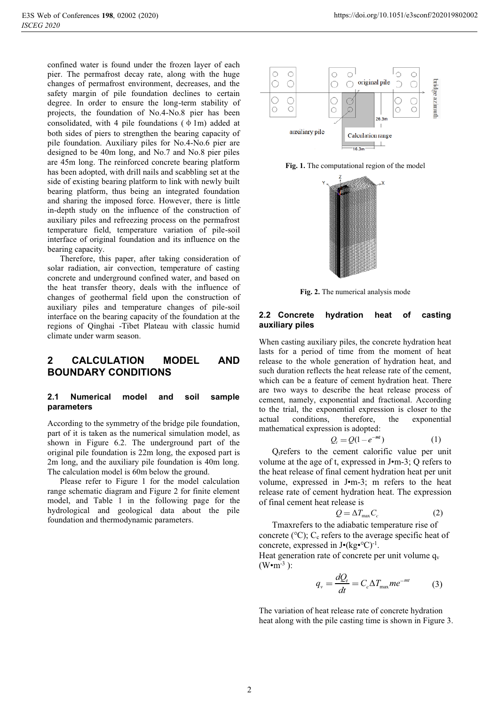confined water is found under the frozen layer of each pier. The permafrost decay rate, along with the huge changes of permafrost environment, decreases, and the safety margin of pile foundation declines to certain degree. In order to ensure the long-term stability of projects, the foundation of No.4-No.8 pier has been consolidated, with 4 pile foundations  $(\phi 1m)$  added at both sides of piers to strengthen the bearing capacity of pile foundation. Auxiliary piles for No.4-No.6 pier are designed to be 40m long, and No.7 and No.8 pier piles are 45m long. The reinforced concrete bearing platform has been adopted, with drill nails and scabbling set at the side of existing bearing platform to link with newly built bearing platform, thus being an integrated foundation and sharing the imposed force. However, there is little in-depth study on the influence of the construction of auxiliary piles and refreezing process on the permafrost temperature field, temperature variation of pile-soil interface of original foundation and its influence on the bearing capacity.

Therefore, this paper, after taking consideration of solar radiation, air convection, temperature of casting concrete and underground confined water, and based on the heat transfer theory, deals with the influence of changes of geothermal field upon the construction of auxiliary piles and temperature changes of pile-soil interface on the bearing capacity of the foundation at the regions of Qinghai -Tibet Plateau with classic humid climate under warm season.

# **2 CALCULATION MODEL AND BOUNDARY CONDITIONS**

#### **2.1 Numerical model and soil sample parameters**

According to the symmetry of the bridge pile foundation, part of it is taken as the numerical simulation model, as shown in Figure 6.2. The underground part of the original pile foundation is 22m long, the exposed part is 2m long, and the auxiliary pile foundation is 40m long. The calculation model is 60m below the ground.

Please refer to Figure 1 for the model calculation range schematic diagram and Figure 2 for finite element model, and Table 1 in the following page for the hydrological and geological data about the pile foundation and thermodynamic parameters.







**Fig. 2.** The numerical analysis mode

### **2.2 Concrete hydration heat of casting auxiliary piles**

When casting auxiliary piles, the concrete hydration heat lasts for a period of time from the moment of heat release to the whole generation of hydration heat, and such duration reflects the heat release rate of the cement, which can be a feature of cement hydration heat. There are two ways to describe the heat release process of cement, namely, exponential and fractional. According to the trial, the exponential expression is closer to the actual conditions, therefore, the exponential mathematical expression is adopted:

$$
Q_t = Q(1 - e^{-mt}) \tag{1}
$$

 $Q_t$  refers to the cement calorific value per unit volume at the age of t, expressed in J•m-3; Q refers to the heat release of final cement hydration heat per unit volume, expressed in J•m-3; m refers to the heat release rate of cement hydration heat. The expression of final cement heat release is

$$
Q = \Delta T_{\text{max}} C_c \tag{2}
$$

Tmaxrefers to the adiabatic temperature rise of concrete ( $°C$ ); C<sub>c</sub> refers to the average specific heat of concrete, expressed in  $J•(kg•°C)<sup>-1</sup>$ .

Heat generation rate of concrete per unit volume  $q_v$  $(W<sub>em-3</sub>)$ :

$$
q_{v} = \frac{dQ_{t}}{dt} = C_{c} \Delta T_{\text{max}} m e^{-mt}
$$
 (3)

The variation of heat release rate of concrete hydration heat along with the pile casting time is shown in Figure 3.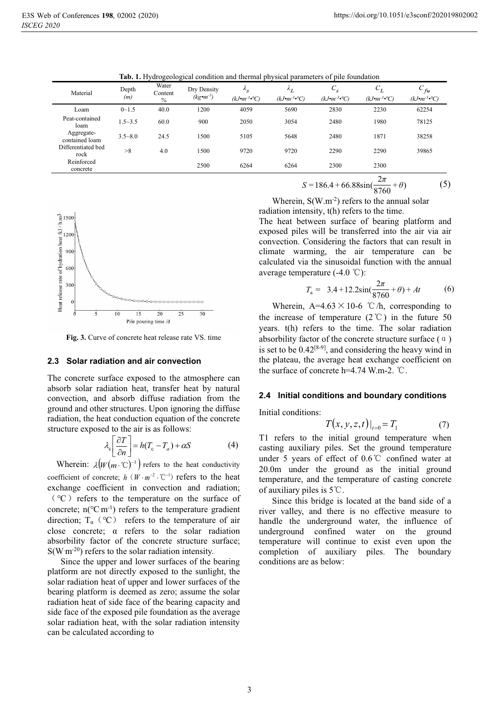| Material                     | Depth<br>(m) | Water<br>Content<br>$\%$ | Dry Density<br>$(kg \cdot m^{-3})$ | $\mathcal{L}_S$<br>$(kJ\bullet m^{-3}\bullet^{\circ}C)$ | $\mathcal{L}_L$<br>$(kJ\bullet m^{-3}\bullet^{\circ}C)$ | $C_{s}$<br>$(kJ\bullet m^{-3}\bullet\circ C)$ | ${\cal C}_L$<br>$(kJ\bullet m^{-3}\bullet^{\circ}C)$ | $C_{fu}$<br>$(kJ\bullet m^{-3}\bullet^{\circ}C)$ |
|------------------------------|--------------|--------------------------|------------------------------------|---------------------------------------------------------|---------------------------------------------------------|-----------------------------------------------|------------------------------------------------------|--------------------------------------------------|
| Loam                         | $0 - 1.5$    | 40.0                     | 1200                               | 4059                                                    | 5690                                                    | 2830                                          | 2230                                                 | 62254                                            |
| Peat-contained<br>loam       | $1.5 - 3.5$  | 60.0                     | 900                                | 2050                                                    | 3054                                                    | 2480                                          | 1980                                                 | 78125                                            |
| Aggregate-<br>contained loam | $3.5 - 8.0$  | 24.5                     | 1500                               | 5105                                                    | 5648                                                    | 2480                                          | 1871                                                 | 38258                                            |
| Differentiated bed<br>rock   | >8           | 4.0                      | 1500                               | 9720                                                    | 9720                                                    | 2290                                          | 2290                                                 | 39865                                            |
| Reinforced<br>concrete       |              |                          | 2500                               | 6264                                                    | 6264                                                    | 2300                                          | 2300                                                 |                                                  |

**Tab. 1.** Hydrogeological condition and thermal physical parameters of pile foundation



**Fig. 3.** Curve of concrete heat release rate VS. time

#### **2.3 Solar radiation and air convection**

The concrete surface exposed to the atmosphere can absorb solar radiation heat, transfer heat by natural convection, and absorb diffuse radiation from the ground and other structures. Upon ignoring the diffuse radiation, the heat conduction equation of the concrete structure exposed to the air is as follows:

$$
\lambda_{\rm c} \left[ \frac{\partial T}{\partial n} \right] = h(T_{\rm c} - T_a) + \alpha S \tag{4}
$$

Wherein:  $\lambda \left( W(m \cdot \mathcal{C})^{-1} \right)$  refers to the heat conductivity coefficient of concrete;  $h$   $(W \cdot m^{-2} \cdot C^{-1})$  refers to the heat exchange coefficient in convection and radiation; ˄℃˅refers to the temperature on the surface of concrete;  $n(^{\circ}C \cdot m^{-1})$  refers to the temperature gradient direction;  $T_{\alpha}$  (°C) refers to the temperature of air close concrete;  $\alpha$  refers to the solar radiation absorbility factor of the concrete structure surface;  $S(W \, m^{-20})$  refers to the solar radiation intensity.

Since the upper and lower surfaces of the bearing platform are not directly exposed to the sunlight, the solar radiation heat of upper and lower surfaces of the bearing platform is deemed as zero; assume the solar radiation heat of side face of the bearing capacity and side face of the exposed pile foundation as the average solar radiation heat, with the solar radiation intensity can be calculated according to

$$
S = 186.4 + 66.88 \sin(\frac{2\pi}{8760} + \theta)
$$
 (5)

Wherein,  $S(W.m^{-2})$  refers to the annual solar radiation intensity, t(h) refers to the time.

The heat between surface of bearing platform and exposed piles will be transferred into the air via air convection. Considering the factors that can result in climate warming, the air temperature can be calculated via the sinusoidal function with the annual average temperature  $(-4.0 \degree C)$ :

$$
T_{\rm a} = 3.4 + 12.2 \sin(\frac{2\pi}{8760} + \theta) + At \tag{6}
$$

Wherein, A=4.63  $\times$  10-6 °C/h, corresponding to the increase of temperature  $(2^{\circ}C)$  in the future 50 years. t(h) refers to the time. The solar radiation absorbility factor of the concrete structure surface  $(\alpha)$ is set to be  $0.42^{[8-9]}$ , and considering the heavy wind in the plateau, the average heat exchange coefficient on the surface of concrete  $h=4.74$  W.m-2. °C.

#### **2.4 Initial conditions and boundary conditions**

Initial conditions:

$$
T(x, y, z, t)|_{t=0} = T_1
$$
 (7)

T1 refers to the initial ground temperature when casting auxiliary piles. Set the ground temperature under 5 years of effect of  $0.6\degree$ C confined water at 20.0m under the ground as the initial ground temperature, and the temperature of casting concrete of auxiliary piles is  $5^{\circ}$ C.

Since this bridge is located at the band side of a river valley, and there is no effective measure to handle the underground water, the influence of underground confined water on the ground temperature will continue to exist even upon the completion of auxiliary piles. The boundary conditions are as below: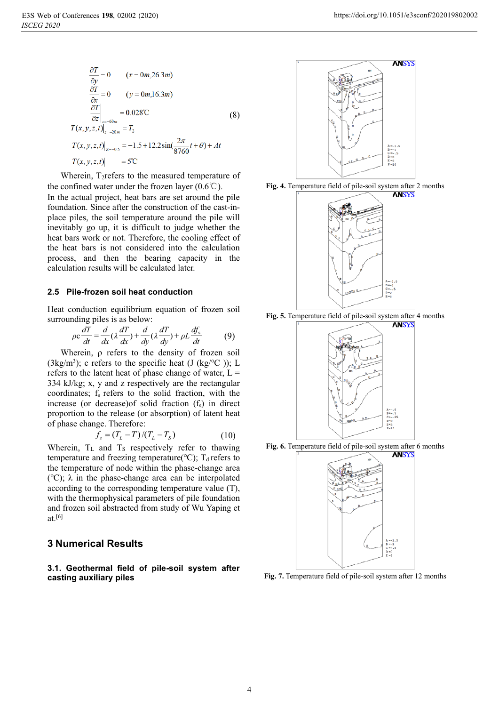$$
\frac{\partial T}{\partial y} = 0 \qquad (x = 0m, 26.3m)
$$
  

$$
\frac{\partial T}{\partial x} = 0 \qquad (y = 0m, 16.3m)
$$
  

$$
\frac{\partial T}{\partial z}\Big|_{z=-60m} = 0.028^{\circ}\text{C}
$$
  

$$
T(x, y, z, t)\Big|_{z=-0.5} = -1.5 + 12.2 \sin(\frac{2\pi}{8760}t + \theta) + At
$$
  

$$
T(x, y, z, t)\Big|_{z=-0.5} = 5^{\circ}\text{C}
$$
 (8)

Wherein, T<sub>2</sub>refers to the measured temperature of the confined water under the frozen layer  $(0.6^{\circ}\text{C})$ . In the actual project, heat bars are set around the pile foundation. Since after the construction of the cast-inplace piles, the soil temperature around the pile will inevitably go up, it is difficult to judge whether the heat bars work or not. Therefore, the cooling effect of the heat bars is not considered into the calculation

process, and then the bearing capacity in the

#### **2.5 Pile-frozen soil heat conduction**

calculation results will be calculated later.

Heat conduction equilibrium equation of frozen soil surrounding piles is as below:

$$
\rho c \frac{dT}{dt} = \frac{d}{dx} (\lambda \frac{dT}{dx}) + \frac{d}{dy} (\lambda \frac{dT}{dy}) + \rho L \frac{df_s}{dt}
$$
(9)

Wherein, ρ refers to the density of frozen soil (3kg/m<sup>3</sup>); c refers to the specific heat (J (kg/ $\rm ^{\circ}C$ )); L refers to the latent heat of phase change of water,  $L =$ 334 kJ/kg; x, y and z respectively are the rectangular coordinates;  $f_s$  refers to the solid fraction, with the increase (or decrease) of solid fraction  $(f_s)$  in direct proportion to the release (or absorption) of latent heat of phase change. Therefore:

$$
f_s = (T_L - T)/(T_L - T_S)
$$
 (10)

Wherein,  $T_L$  and  $T_S$  respectively refer to thawing temperature and freezing temperature( $°C$ ); T<sub>d</sub> refers to the temperature of node within the phase-change area (℃); λ in the phase-change area can be interpolated according to the corresponding temperature value (T), with the thermophysical parameters of pile foundation and frozen soil abstracted from study of Wu Yaping et at.[6]

### **3 Numerical Results**

**3.1. Geothermal field of pile-soil system after casting auxiliary piles** 



**Fig. 4.** Temperature field of pile-soil system after 2 months



**Fig. 5.** Temperature field of pile-soil system after 4 months







**Fig. 7.** Temperature field of pile-soil system after 12 months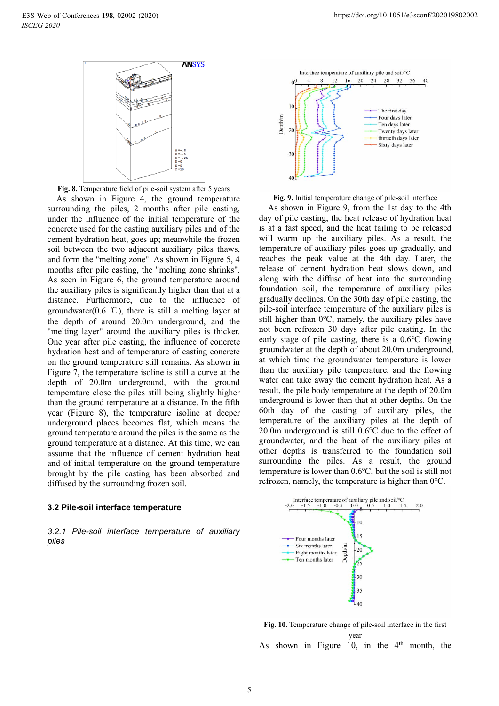

**Fig. 8.** Temperature field of pile-soil system after 5 years

As shown in Figure 4, the ground temperature surrounding the piles, 2 months after pile casting, under the influence of the initial temperature of the concrete used for the casting auxiliary piles and of the cement hydration heat, goes up; meanwhile the frozen soil between the two adjacent auxiliary piles thaws, and form the "melting zone". As shown in Figure 5, 4 months after pile casting, the "melting zone shrinks". As seen in Figure 6, the ground temperature around the auxiliary piles is significantly higher than that at a distance. Furthermore, due to the influence of groundwater(0.6  $\degree$ C), there is still a melting layer at the depth of around 20.0m underground, and the "melting layer" around the auxiliary piles is thicker. One year after pile casting, the influence of concrete hydration heat and of temperature of casting concrete on the ground temperature still remains. As shown in Figure 7, the temperature isoline is still a curve at the depth of 20.0m underground, with the ground temperature close the piles still being slightly higher than the ground temperature at a distance. In the fifth year (Figure 8), the temperature isoline at deeper underground places becomes flat, which means the ground temperature around the piles is the same as the ground temperature at a distance. At this time, we can assume that the influence of cement hydration heat and of initial temperature on the ground temperature brought by the pile casting has been absorbed and diffused by the surrounding frozen soil.

#### **3.2 Pile-soil interface temperature**

*3.2.1 Pile-soil interface temperature of auxiliary piles*



**Fig. 9.** Initial temperature change of pile-soil interface

As shown in Figure 9, from the 1st day to the 4th day of pile casting, the heat release of hydration heat is at a fast speed, and the heat failing to be released will warm up the auxiliary piles. As a result, the temperature of auxiliary piles goes up gradually, and reaches the peak value at the 4th day. Later, the release of cement hydration heat slows down, and along with the diffuse of heat into the surrounding foundation soil, the temperature of auxiliary piles gradually declines. On the 30th day of pile casting, the pile-soil interface temperature of the auxiliary piles is still higher than 0℃, namely, the auxiliary piles have not been refrozen 30 days after pile casting. In the early stage of pile casting, there is a 0.6℃ flowing groundwater at the depth of about 20.0m underground, at which time the groundwater temperature is lower than the auxiliary pile temperature, and the flowing water can take away the cement hydration heat. As a result, the pile body temperature at the depth of 20.0m underground is lower than that at other depths. On the 60th day of the casting of auxiliary piles, the temperature of the auxiliary piles at the depth of 20.0m underground is still 0.6℃ due to the effect of groundwater, and the heat of the auxiliary piles at other depths is transferred to the foundation soil surrounding the piles. As a result, the ground temperature is lower than 0.6℃, but the soil is still not refrozen, namely, the temperature is higher than 0℃.



**Fig. 10.** Temperature change of pile-soil interface in the first year As shown in Figure 10, in the  $4<sup>th</sup>$  month, the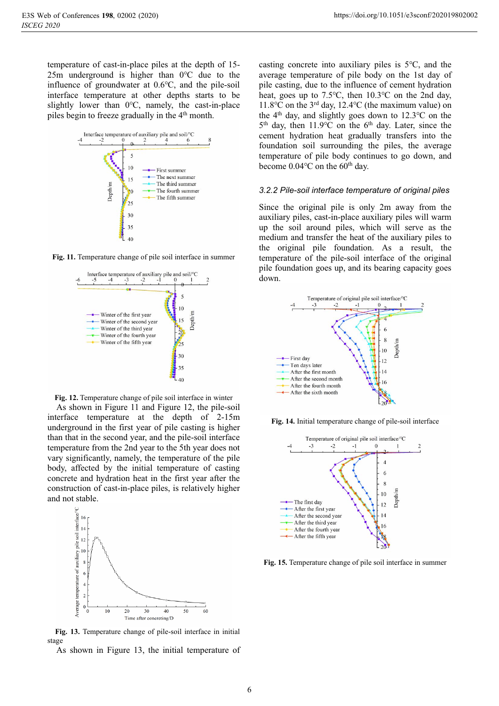temperature of cast-in-place piles at the depth of 15- 25m underground is higher than 0℃ due to the influence of groundwater at 0.6℃, and the pile-soil interface temperature at other depths starts to be slightly lower than 0℃, namely, the cast-in-place piles begin to freeze gradually in the 4<sup>th</sup> month.







**Fig. 12.** Temperature change of pile soil interface in winter

As shown in Figure 11 and Figure 12, the pile-soil interface temperature at the depth of 2-15m underground in the first year of pile casting is higher than that in the second year, and the pile-soil interface temperature from the 2nd year to the 5th year does not vary significantly, namely, the temperature of the pile body, affected by the initial temperature of casting concrete and hydration heat in the first year after the construction of cast-in-place piles, is relatively higher and not stable.



**Fig. 13.** Temperature change of pile-soil interface in initial stage

As shown in Figure 13, the initial temperature of

casting concrete into auxiliary piles is 5℃, and the average temperature of pile body on the 1st day of pile casting, due to the influence of cement hydration heat, goes up to 7.5℃, then 10.3℃ on the 2nd day, 11.8℃ on the 3rd day, 12.4℃ (the maximum value) on the  $4<sup>th</sup>$  day, and slightly goes down to 12.3 °C on the 5<sup>th</sup> day, then 11.9℃ on the 6<sup>th</sup> day. Later, since the cement hydration heat gradually transfers into the foundation soil surrounding the piles, the average temperature of pile body continues to go down, and become 0.04°C on the 60<sup>th</sup> day.

# *3.2.2 Pile-soil interface temperature of original piles*

Since the original pile is only 2m away from the auxiliary piles, cast-in-place auxiliary piles will warm up the soil around piles, which will serve as the medium and transfer the heat of the auxiliary piles to the original pile foundation. As a result, the temperature of the pile-soil interface of the original pile foundation goes up, and its bearing capacity goes down.



**Fig. 14.** Initial temperature change of pile-soil interface



**Fig. 15.** Temperature change of pile soil interface in summer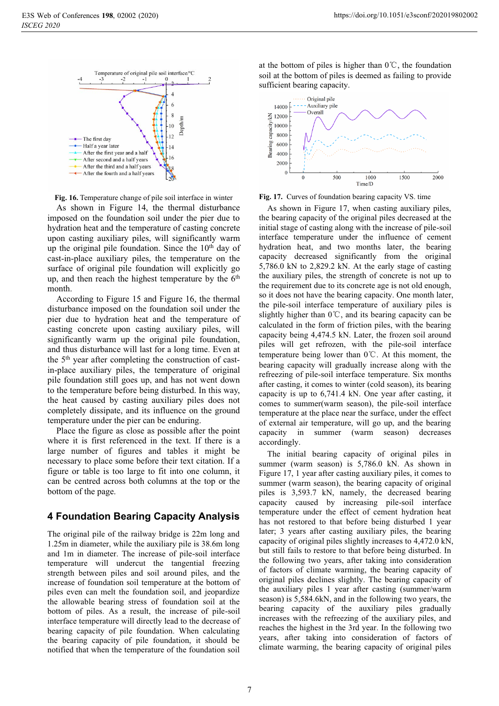

**Fig. 16.** Temperature change of pile soil interface in winter

As shown in Figure 14, the thermal disturbance imposed on the foundation soil under the pier due to hydration heat and the temperature of casting concrete upon casting auxiliary piles, will significantly warm up the original pile foundation. Since the 10<sup>th</sup> day of cast-in-place auxiliary piles, the temperature on the surface of original pile foundation will explicitly go up, and then reach the highest temperature by the  $6<sup>th</sup>$ month.

According to Figure 15 and Figure 16, the thermal disturbance imposed on the foundation soil under the pier due to hydration heat and the temperature of casting concrete upon casting auxiliary piles, will significantly warm up the original pile foundation, and thus disturbance will last for a long time. Even at the 5th year after completing the construction of castin-place auxiliary piles, the temperature of original pile foundation still goes up, and has not went down to the temperature before being disturbed. In this way, the heat caused by casting auxiliary piles does not completely dissipate, and its influence on the ground temperature under the pier can be enduring.

Place the figure as close as possible after the point where it is first referenced in the text. If there is a large number of figures and tables it might be necessary to place some before their text citation. If a figure or table is too large to fit into one column, it can be centred across both columns at the top or the bottom of the page.

# **4 Foundation Bearing Capacity Analysis**

The original pile of the railway bridge is 22m long and 1.25m in diameter, while the auxiliary pile is 38.6m long and 1m in diameter. The increase of pile-soil interface temperature will undercut the tangential freezing strength between piles and soil around piles, and the increase of foundation soil temperature at the bottom of piles even can melt the foundation soil, and jeopardize the allowable bearing stress of foundation soil at the bottom of piles. As a result, the increase of pile-soil interface temperature will directly lead to the decrease of bearing capacity of pile foundation. When calculating the bearing capacity of pile foundation, it should be notified that when the temperature of the foundation soil

at the bottom of piles is higher than  $0^{\circ}$ C, the foundation soil at the bottom of piles is deemed as failing to provide sufficient bearing capacity.





As shown in Figure 17, when casting auxiliary piles, the bearing capacity of the original piles decreased at the initial stage of casting along with the increase of pile-soil interface temperature under the influence of cement hydration heat, and two months later, the bearing capacity decreased significantly from the original 5,786.0 kN to 2,829.2 kN. At the early stage of casting the auxiliary piles, the strength of concrete is not up to the requirement due to its concrete age is not old enough, so it does not have the bearing capacity. One month later, the pile-soil interface temperature of auxiliary piles is slightly higher than  $0^{\circ}$ C, and its bearing capacity can be calculated in the form of friction piles, with the bearing capacity being 4,474.5 kN. Later, the frozen soil around piles will get refrozen, with the pile-soil interface temperature being lower than  $0^{\circ}$ . At this moment, the bearing capacity will gradually increase along with the refreezing of pile-soil interface temperature. Six months after casting, it comes to winter (cold season), its bearing capacity is up to 6,741.4 kN. One year after casting, it comes to summer(warm season), the pile-soil interface temperature at the place near the surface, under the effect of external air temperature, will go up, and the bearing capacity in summer (warm season) decreases accordingly.

The initial bearing capacity of original piles in summer (warm season) is 5,786.0 kN. As shown in Figure 17, 1 year after casting auxiliary piles, it comes to summer (warm season), the bearing capacity of original piles is 3,593.7 kN, namely, the decreased bearing capacity caused by increasing pile-soil interface temperature under the effect of cement hydration heat has not restored to that before being disturbed 1 year later; 3 years after casting auxiliary piles, the bearing capacity of original piles slightly increases to 4,472.0 kN, but still fails to restore to that before being disturbed. In the following two years, after taking into consideration of factors of climate warming, the bearing capacity of original piles declines slightly. The bearing capacity of the auxiliary piles 1 year after casting (summer/warm season) is 5,584.6kN, and in the following two years, the bearing capacity of the auxiliary piles gradually increases with the refreezing of the auxiliary piles, and reaches the highest in the 3rd year. In the following two years, after taking into consideration of factors of climate warming, the bearing capacity of original piles